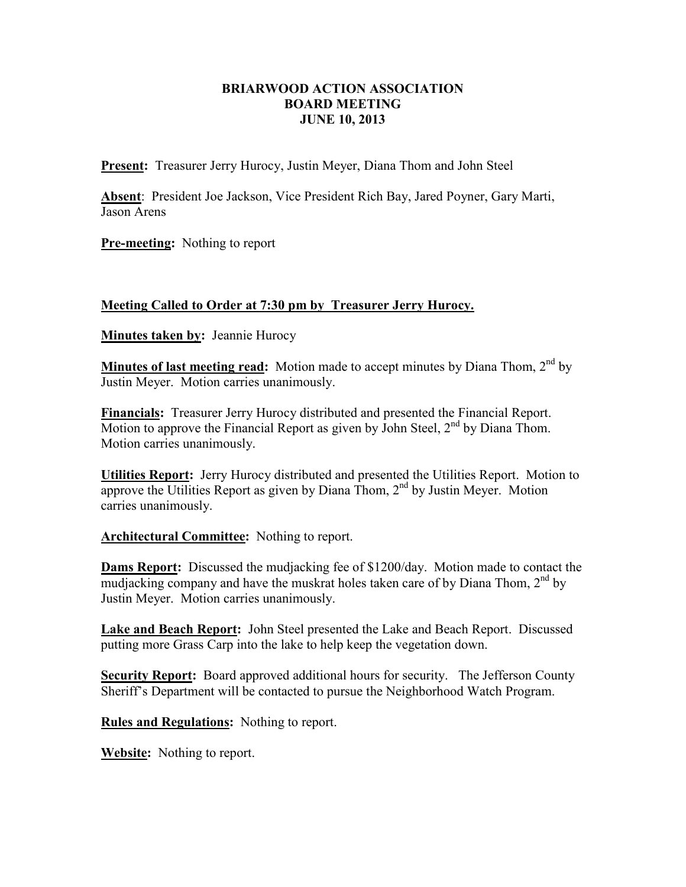## **BRIARWOOD ACTION ASSOCIATION BOARD MEETING JUNE 10, 2013**

**Present:** Treasurer Jerry Hurocy, Justin Meyer, Diana Thom and John Steel

**Absent**: President Joe Jackson, Vice President Rich Bay, Jared Poyner, Gary Marti, Jason Arens

**Pre-meeting:** Nothing to report

## **Meeting Called to Order at 7:30 pm by Treasurer Jerry Hurocy.**

**Minutes taken by:** Jeannie Hurocy

**Minutes of last meeting read:** Motion made to accept minutes by Diana Thom, 2<sup>nd</sup> by Justin Meyer. Motion carries unanimously.

**Financials:** Treasurer Jerry Hurocy distributed and presented the Financial Report. Motion to approve the Financial Report as given by John Steel,  $2<sup>nd</sup>$  by Diana Thom. Motion carries unanimously.

**Utilities Report:** Jerry Hurocy distributed and presented the Utilities Report. Motion to approve the Utilities Report as given by Diana Thom,  $2<sup>nd</sup>$  by Justin Meyer. Motion carries unanimously.

**Architectural Committee:** Nothing to report.

**Dams Report:** Discussed the mudjacking fee of \$1200/day. Motion made to contact the mudjacking company and have the muskrat holes taken care of by Diana Thom, 2nd by Justin Meyer. Motion carries unanimously.

**Lake and Beach Report:** John Steel presented the Lake and Beach Report. Discussed putting more Grass Carp into the lake to help keep the vegetation down.

**Security Report:** Board approved additional hours for security. The Jefferson County Sheriff's Department will be contacted to pursue the Neighborhood Watch Program.

**Rules and Regulations:** Nothing to report.

**Website:** Nothing to report.